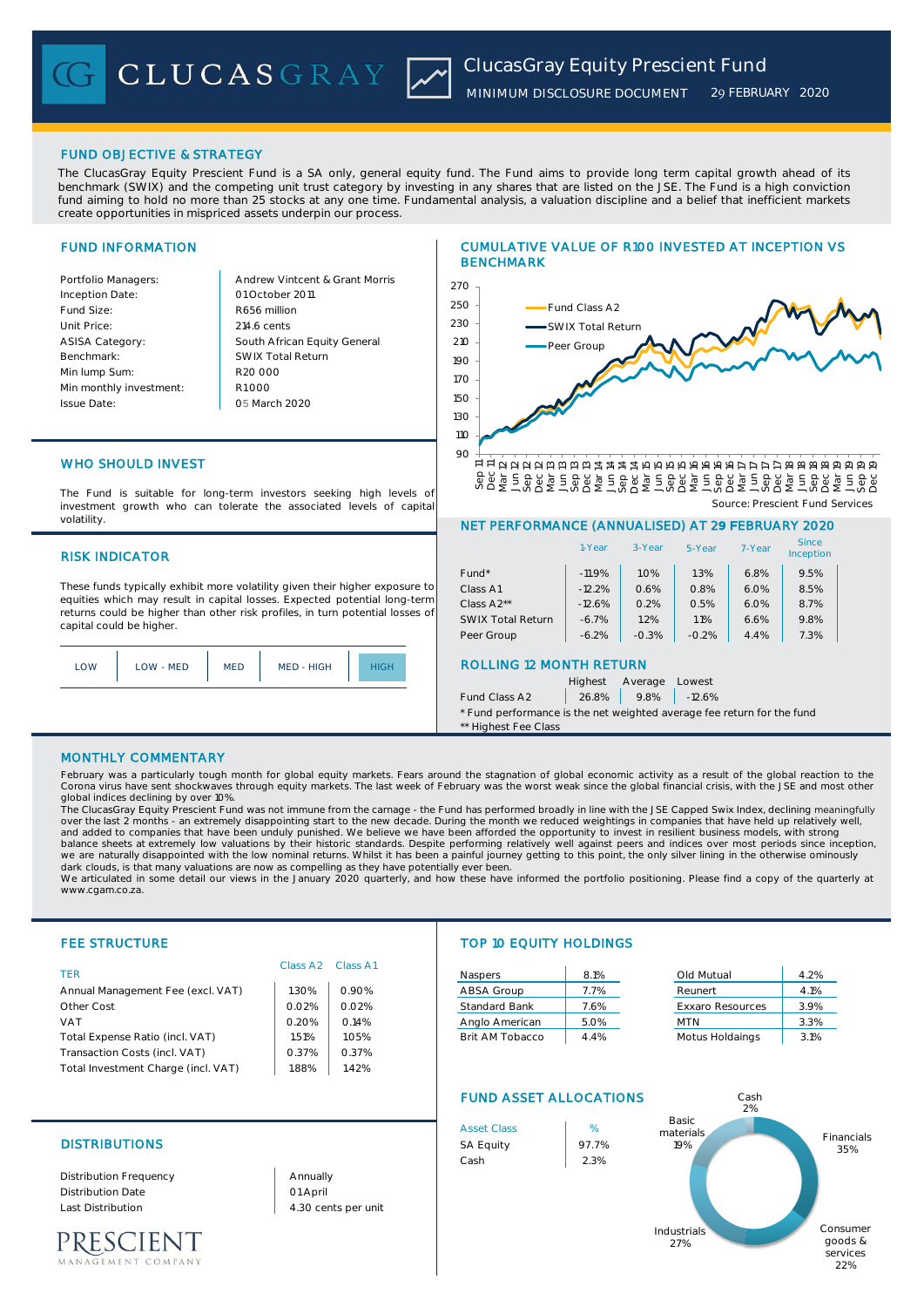

# FUND OBJECTIVE & STRATEGY

The ClucasGray Equity Prescient Fund is a SA only, general equity fund. The Fund aims to provide long term capital growth ahead of its benchmark (SWIX) and the competing unit trust category by investing in any shares that are listed on the JSE. The Fund is a high conviction fund aiming to hold no more than 25 stocks at any one time. Fundamental analysis, a valuation discipline and a belief that inefficient markets create opportunities in mispriced assets underpin our process.

# FUND INFORMATION

| Portfolio Managers:     |
|-------------------------|
| Inception Date:         |
| Fund Size:              |
| Unit Price:             |
| <b>ASISA Category:</b>  |
| Benchmark:              |
| Min lump Sum:           |
| Min monthly investment: |
| <b>Issue Date:</b>      |

Andrew Vintcent & Grant Morris 01 October 2011 R656 million 214.6 cents South African Equity General SWIX Total Return R20 000 R1 000 05 March 2020

# WHO SHOULD INVEST

The Fund is suitable for long-term investors seeking high levels of investment growth who can tolerate the associated levels of capital volatility.

## RISK INDICATOR

These funds typically exhibit more volatility given their higher exposure to equities which may result in capital losses. Expected potential long-term returns could be higher than other risk profiles, in turn potential losses of capital could be higher.



# CUMULATIVE VALUE OF R100 INVESTED AT INCEPTION VS BENCHMARK



## NET PERFORMANCE (ANNUALISED) AT 29 FEBRUARY 2020

| $-11.9%$                                  | 1.0%                                       | 1.3%                                       | 6.8%   |      |  |
|-------------------------------------------|--------------------------------------------|--------------------------------------------|--------|------|--|
|                                           |                                            |                                            |        | 9.5% |  |
|                                           |                                            | 0.8%                                       | 6.0%   | 8.5% |  |
|                                           |                                            | 0.5%                                       | 6.0%   | 8.7% |  |
|                                           |                                            | 1.1%                                       | 6.6%   | 9.8% |  |
|                                           |                                            | $-0.2%$                                    | 4.4%   | 7.3% |  |
| <b>ROLLING 12 MONTH RETURN</b><br>Highest |                                            |                                            |        |      |  |
|                                           | $-12.2%$<br>$-12.6%$<br>$-6.7%$<br>$-6.2%$ | 0.6%<br>0.2%<br>1.2%<br>$-0.3%$<br>Average | Lowest |      |  |

Fund Class A2 | 26.8% | 9.8% | -12.6%

\* Fund performance is the net weighted average fee return for the fund \*\* Highest Fee Class

#### MONTHLY COMMENTARY

February was a particularly tough month for global equity markets. Fears around the stagnation of global economic activity as a result of the global reaction to the Corona virus have sent shockwaves through equity markets. The last week of February was the worst weak since the global financial crisis, with the JSE and most other global indices declining by over 10%.

The ClucasGray Equity Prescient Fund was not immune from the carnage - the Fund has performed broadly in line with the JSE Capped Swix Index, declining **meaningfully**<br>over the last 2 months - an extremely disappointing sta balance sheets at extremely low valuations by their historic standards. Despite performing relatively well against peers and indices over most periods since inception,<br>we are naturally disappointed with the low nominal ret dark clouds, is that many valuations are now as compelling as they have potentially ever been.

We articulated in some detail our views in the January 2020 quarterly, and how these have informed the portfolio positioning. Please find a copy of the quarterly at www.cgam.co.za.

| Annual Management Fee (excl. VAT)   | 1.30% | 0.90% |
|-------------------------------------|-------|-------|
| Other Cost                          | 0.02% | 0.02% |
| <b>VAT</b>                          | 0.20% | 0.14% |
| Total Expense Ratio (incl. VAT)     | 1.51% | 1.05% |
| Transaction Costs (incl. VAT)       | 0.37% | 0.37% |
| Total Investment Charge (incl. VAT) | 1.88% | 1.42% |

# Class A2 Class A1

# FEE STRUCTURE TOP 10 EQUITY HOLDINGS

| TER                               |       |       | Naspers              | 8.1% | Old Mutual              | 4.2% |
|-----------------------------------|-------|-------|----------------------|------|-------------------------|------|
| Annual Management Fee (excl. VAT) | .30%  | 0.90% | ABSA Group           | 7.7% | Reunert                 | 4.1% |
| Other Cost                        | 0.02% | 0.02% | <b>Standard Bank</b> | 7.6% | <b>Exxaro Resources</b> | 3.9% |
| <b>VAT</b>                        | 0.20% | 0.14% | Anglo American       | 5.0% | <b>MTN</b>              | 3.3% |
| Total Expense Ratio (incl. VAT)   | 1.51% | .05%  | Brit AM Tobacco      | 4.4% | Motus Holdaings         | 3.1% |
|                                   |       |       |                      |      |                         |      |

| Old Mutual              | 4.2% |
|-------------------------|------|
| Reunert                 | 4.1% |
| <b>Exxaro Resources</b> | 3.9% |
| MTN                     | 3.3% |
| Motus Holdainas         | 210/ |

# FUND ASSET ALLOCATIONS





# DISTRIBUTIONS SA Equity 97.7%

Distribution Frequency Distribution Date Last Distribution 4.30 cents per unit

PRESCIENT EMENT COMPANY 01 April Annually